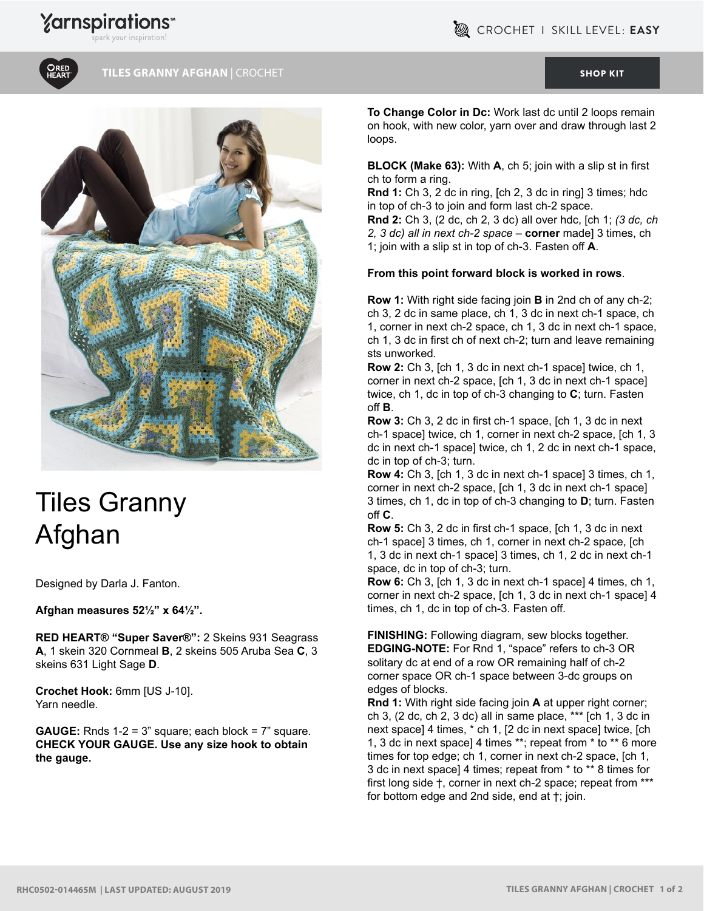

**TILES GRANNY AFGHAN** | CROCHET [SHOP KIT](https://www.yarnspirations.com/red-heart-tiles-granny-afghan/RHC0502-014465M.html#utm_source=pdf-yarnspirations&utm_medium=referral&utm_campaign=pdf-RHC0502-014465M)



## Tiles Granny Afghan

Designed by Darla J. Fanton.

**Afghan measures 52½" x 64½".**

**RED HEART® "Super Saver®":** 2 Skeins 931 Seagrass **A**, 1 skein 320 Cornmeal **B**, 2 skeins 505 Aruba Sea **C**, 3 skeins 631 Light Sage **D**.

**Crochet Hook:** 6mm [US J-10]. Yarn needle.

**GAUGE:** Rnds 1-2 = 3" square; each block = 7" square. **CHECK YOUR GAUGE. Use any size hook to obtain the gauge.**

**To Change Color in Dc:** Work last dc until 2 loops remain on hook, with new color, yarn over and draw through last 2 loops.

**BLOCK (Make 63):** With **A**, ch 5; join with a slip st in first ch to form a ring.

**Rnd 1:** Ch 3, 2 dc in ring, [ch 2, 3 dc in ring] 3 times; hdc in top of ch-3 to join and form last ch-2 space.

**Rnd 2:** Ch 3, (2 dc, ch 2, 3 dc) all over hdc, [ch 1; *(3 dc, ch 2, 3 dc) all in next ch-2 space* – **corner** made] 3 times, ch 1; join with a slip st in top of ch-3. Fasten off **A**.

## **From this point forward block is worked in rows**.

**Row 1:** With right side facing join **B** in 2nd ch of any ch-2; ch 3, 2 dc in same place, ch 1, 3 dc in next ch-1 space, ch 1, corner in next ch-2 space, ch 1, 3 dc in next ch-1 space, ch 1, 3 dc in first ch of next ch-2; turn and leave remaining sts unworked.

**Row 2:** Ch 3, [ch 1, 3 dc in next ch-1 space] twice, ch 1, corner in next ch-2 space, [ch 1, 3 dc in next ch-1 space] twice, ch 1, dc in top of ch-3 changing to **C**; turn. Fasten off **B**.

**Row 3:** Ch 3, 2 dc in first ch-1 space, [ch 1, 3 dc in next ch-1 space] twice, ch 1, corner in next ch-2 space, [ch 1, 3 dc in next ch-1 space] twice, ch 1, 2 dc in next ch-1 space, dc in top of ch-3; turn.

**Row 4:** Ch 3, [ch 1, 3 dc in next ch-1 space] 3 times, ch 1, corner in next ch-2 space, [ch 1, 3 dc in next ch-1 space] 3 times, ch 1, dc in top of ch-3 changing to **D**; turn. Fasten off **C**.

**Row 5:** Ch 3, 2 dc in first ch-1 space, [ch 1, 3 dc in next ch-1 space] 3 times, ch 1, corner in next ch-2 space, [ch 1, 3 dc in next ch-1 space] 3 times, ch 1, 2 dc in next ch-1 space, dc in top of ch-3; turn.

**Row 6:** Ch 3, [ch 1, 3 dc in next ch-1 space] 4 times, ch 1, corner in next ch-2 space, [ch 1, 3 dc in next ch-1 space] 4 times, ch 1, dc in top of ch-3. Fasten off.

**FINISHING:** Following diagram, sew blocks together. **EDGING-NOTE:** For Rnd 1, "space" refers to ch-3 OR solitary dc at end of a row OR remaining half of ch-2 corner space OR ch-1 space between 3-dc groups on edges of blocks.

**Rnd 1:** With right side facing join **A** at upper right corner; ch 3, (2 dc, ch 2, 3 dc) all in same place, \*\*\* [ch 1, 3 dc in next space] 4 times, \* ch 1, [2 dc in next space] twice, [ch 1, 3 dc in next space] 4 times \*\*; repeat from \* to \*\* 6 more times for top edge; ch 1, corner in next ch-2 space, [ch 1, 3 dc in next space] 4 times; repeat from \* to \*\* 8 times for first long side †, corner in next ch-2 space; repeat from \*\*\* for bottom edge and 2nd side, end at †; join.